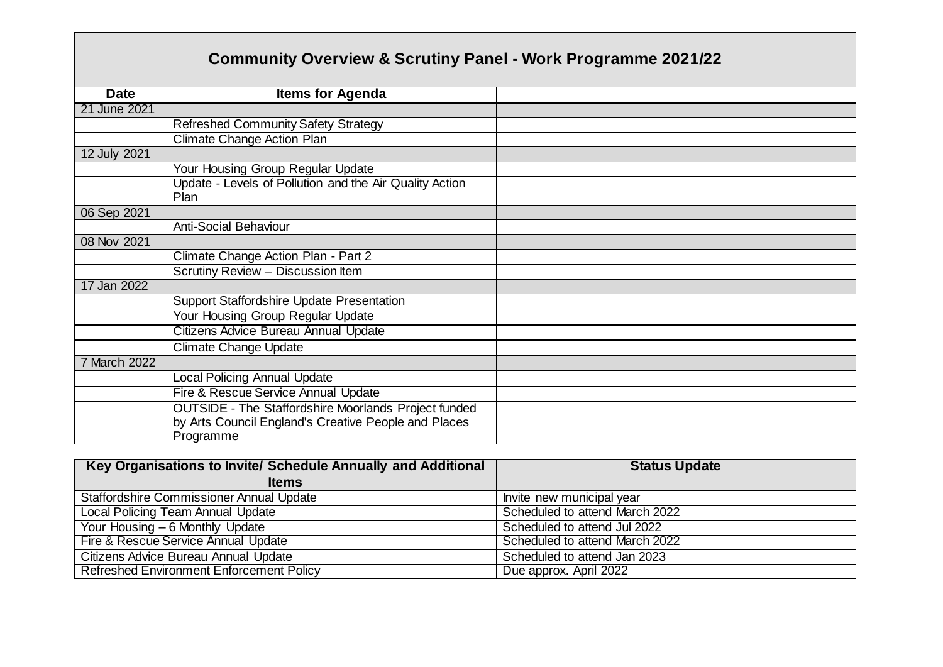## **Community Overview & Scrutiny Panel - Work Programme 2021/22**

| <b>Date</b>  | <b>Items for Agenda</b>                                     |  |
|--------------|-------------------------------------------------------------|--|
| 21 June 2021 |                                                             |  |
|              | <b>Refreshed Community Safety Strategy</b>                  |  |
|              | Climate Change Action Plan                                  |  |
| 12 July 2021 |                                                             |  |
|              | Your Housing Group Regular Update                           |  |
|              | Update - Levels of Pollution and the Air Quality Action     |  |
|              | Plan                                                        |  |
| 06 Sep 2021  |                                                             |  |
|              | <b>Anti-Social Behaviour</b>                                |  |
| 08 Nov 2021  |                                                             |  |
|              | Climate Change Action Plan - Part 2                         |  |
|              | Scrutiny Review - Discussion Item                           |  |
| 17 Jan 2022  |                                                             |  |
|              | <b>Support Staffordshire Update Presentation</b>            |  |
|              | Your Housing Group Regular Update                           |  |
|              | Citizens Advice Bureau Annual Update                        |  |
|              | Climate Change Update                                       |  |
| 7 March 2022 |                                                             |  |
|              | <b>Local Policing Annual Update</b>                         |  |
|              | Fire & Rescue Service Annual Update                         |  |
|              | <b>OUTSIDE - The Staffordshire Moorlands Project funded</b> |  |
|              | by Arts Council England's Creative People and Places        |  |
|              | Programme                                                   |  |

| Key Organisations to Invite/ Schedule Annually and Additional | <b>Status Update</b>           |
|---------------------------------------------------------------|--------------------------------|
| <b>Items</b>                                                  |                                |
| <b>Staffordshire Commissioner Annual Update</b>               | Invite new municipal year      |
| Local Policing Team Annual Update                             | Scheduled to attend March 2022 |
| Your Housing - 6 Monthly Update                               | Scheduled to attend Jul 2022   |
| Fire & Rescue Service Annual Update                           | Scheduled to attend March 2022 |
| Citizens Advice Bureau Annual Update                          | Scheduled to attend Jan 2023   |
| <b>Refreshed Environment Enforcement Policy</b>               | Due approx. April 2022         |